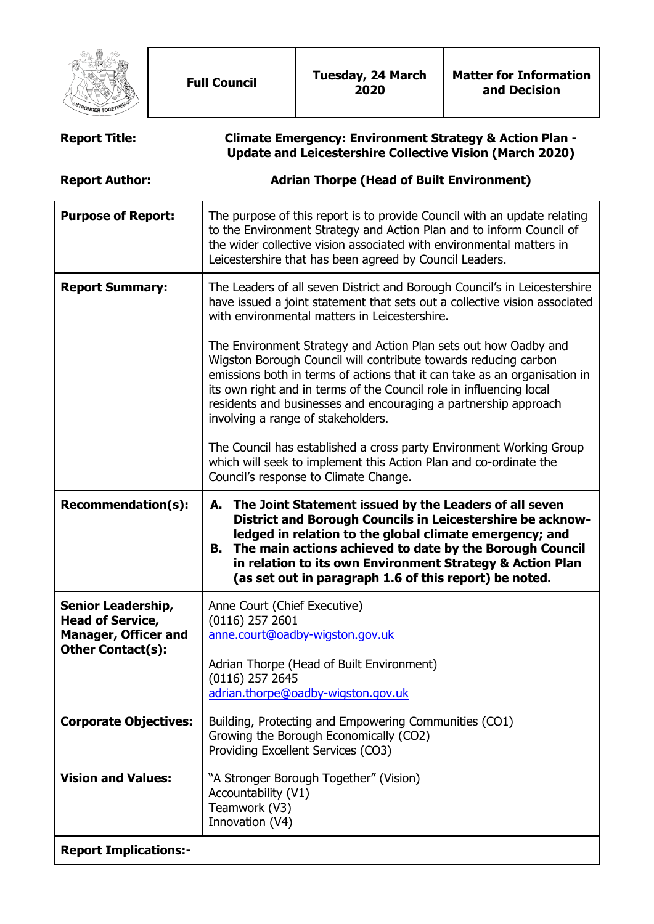

| <b>Report Title:</b>                                                                                            | <b>Climate Emergency: Environment Strategy &amp; Action Plan -</b><br><b>Update and Leicestershire Collective Vision (March 2020)</b>                                                                                                                                                                                                                                          |
|-----------------------------------------------------------------------------------------------------------------|--------------------------------------------------------------------------------------------------------------------------------------------------------------------------------------------------------------------------------------------------------------------------------------------------------------------------------------------------------------------------------|
| <b>Report Author:</b>                                                                                           | <b>Adrian Thorpe (Head of Built Environment)</b>                                                                                                                                                                                                                                                                                                                               |
| <b>Purpose of Report:</b>                                                                                       | The purpose of this report is to provide Council with an update relating<br>to the Environment Strategy and Action Plan and to inform Council of<br>the wider collective vision associated with environmental matters in<br>Leicestershire that has been agreed by Council Leaders.                                                                                            |
| <b>Report Summary:</b>                                                                                          | The Leaders of all seven District and Borough Council's in Leicestershire<br>have issued a joint statement that sets out a collective vision associated<br>with environmental matters in Leicestershire.<br>The Environment Strategy and Action Plan sets out how Oadby and                                                                                                    |
|                                                                                                                 | Wigston Borough Council will contribute towards reducing carbon<br>emissions both in terms of actions that it can take as an organisation in<br>its own right and in terms of the Council role in influencing local<br>residents and businesses and encouraging a partnership approach<br>involving a range of stakeholders.                                                   |
|                                                                                                                 | The Council has established a cross party Environment Working Group<br>which will seek to implement this Action Plan and co-ordinate the<br>Council's response to Climate Change.                                                                                                                                                                                              |
| <b>Recommendation(s):</b>                                                                                       | The Joint Statement issued by the Leaders of all seven<br>А.<br>District and Borough Councils in Leicestershire be acknow-<br>ledged in relation to the global climate emergency; and<br>The main actions achieved to date by the Borough Council<br>В.<br>in relation to its own Environment Strategy & Action Plan<br>(as set out in paragraph 1.6 of this report) be noted. |
| <b>Senior Leadership,</b><br><b>Head of Service,</b><br><b>Manager, Officer and</b><br><b>Other Contact(s):</b> | Anne Court (Chief Executive)<br>$(0116)$ 257 2601<br>anne.court@oadby-wigston.gov.uk<br>Adrian Thorpe (Head of Built Environment)<br>(0116) 257 2645<br>adrian.thorpe@oadby-wigston.gov.uk                                                                                                                                                                                     |
| <b>Corporate Objectives:</b>                                                                                    | Building, Protecting and Empowering Communities (CO1)<br>Growing the Borough Economically (CO2)<br>Providing Excellent Services (CO3)                                                                                                                                                                                                                                          |
| <b>Vision and Values:</b>                                                                                       | "A Stronger Borough Together" (Vision)                                                                                                                                                                                                                                                                                                                                         |
|                                                                                                                 | Accountability (V1)<br>Teamwork (V3)<br>Innovation (V4)                                                                                                                                                                                                                                                                                                                        |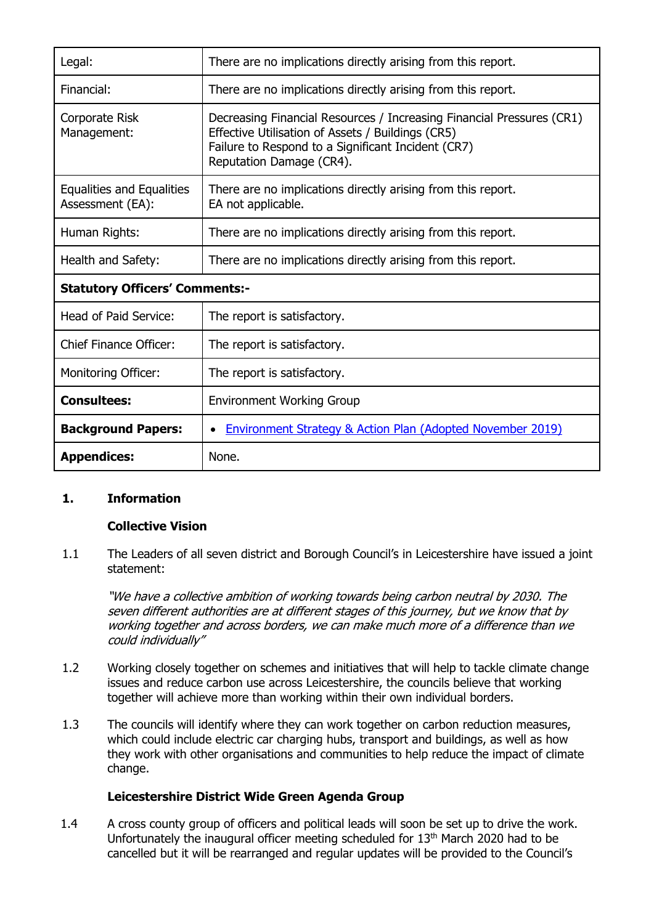| Legal:                                               | There are no implications directly arising from this report.                                                                                                                                                 |  |
|------------------------------------------------------|--------------------------------------------------------------------------------------------------------------------------------------------------------------------------------------------------------------|--|
| Financial:                                           | There are no implications directly arising from this report.                                                                                                                                                 |  |
| Corporate Risk<br>Management:                        | Decreasing Financial Resources / Increasing Financial Pressures (CR1)<br>Effective Utilisation of Assets / Buildings (CR5)<br>Failure to Respond to a Significant Incident (CR7)<br>Reputation Damage (CR4). |  |
| <b>Equalities and Equalities</b><br>Assessment (EA): | There are no implications directly arising from this report.<br>EA not applicable.                                                                                                                           |  |
| Human Rights:                                        | There are no implications directly arising from this report.                                                                                                                                                 |  |
| Health and Safety:                                   | There are no implications directly arising from this report.                                                                                                                                                 |  |
| <b>Statutory Officers' Comments:-</b>                |                                                                                                                                                                                                              |  |
| Head of Paid Service:                                | The report is satisfactory.                                                                                                                                                                                  |  |
| <b>Chief Finance Officer:</b>                        | The report is satisfactory.                                                                                                                                                                                  |  |
| <b>Monitoring Officer:</b>                           | The report is satisfactory.                                                                                                                                                                                  |  |
| <b>Consultees:</b>                                   | <b>Environment Working Group</b>                                                                                                                                                                             |  |
| <b>Background Papers:</b>                            | Environment Strategy & Action Plan (Adopted November 2019)                                                                                                                                                   |  |
| <b>Appendices:</b>                                   | None.                                                                                                                                                                                                        |  |

## **1. Information**

## **Collective Vision**

1.1 The Leaders of all seven district and Borough Council's in Leicestershire have issued a joint statement:

"We have a collective ambition of working towards being carbon neutral by 2030. The seven different authorities are at different stages of this journey, but we know that by working together and across borders, we can make much more of a difference than we could individually"

- 1.2 Working closely together on schemes and initiatives that will help to tackle climate change issues and reduce carbon use across Leicestershire, the councils believe that working together will achieve more than working within their own individual borders.
- 1.3 The councils will identify where they can work together on carbon reduction measures, which could include electric car charging hubs, transport and buildings, as well as how they work with other organisations and communities to help reduce the impact of climate change.

## **Leicestershire District Wide Green Agenda Group**

1.4 A cross county group of officers and political leads will soon be set up to drive the work. Unfortunately the inaugural officer meeting scheduled for 13<sup>th</sup> March 2020 had to be cancelled but it will be rearranged and regular updates will be provided to the Council's